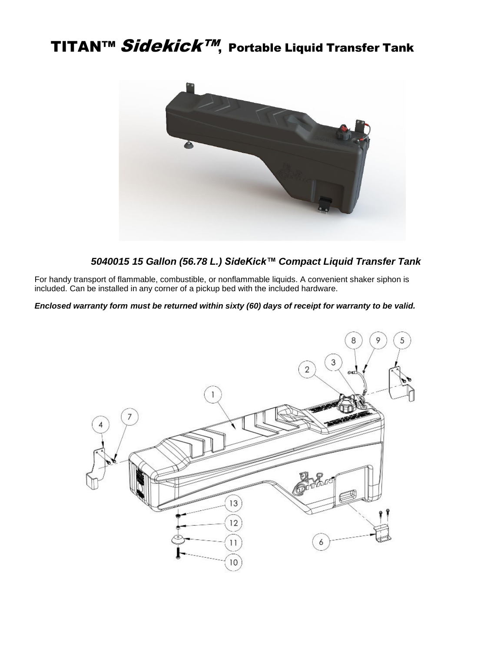# TITAN™ Sidekick™, Portable Liquid Transfer Tank



#### *5040015 15 Gallon (56.78 L.) SideKick™ Compact Liquid Transfer Tank*

For handy transport of flammable, combustible, or nonflammable liquids. A convenient shaker siphon is included. Can be installed in any corner of a pickup bed with the included hardware.

*Enclosed warranty form must be returned within sixty (60) days of receipt for warranty to be valid.*

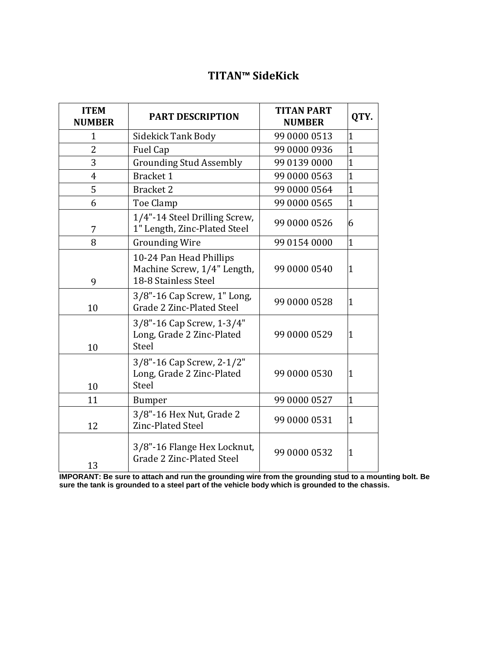## **TITAN™ SideKick**

| <b>ITEM</b><br><b>NUMBER</b> | <b>PART DESCRIPTION</b>                                                        | <b>TITAN PART</b><br><b>NUMBER</b> | QTY.           |
|------------------------------|--------------------------------------------------------------------------------|------------------------------------|----------------|
| $\mathbf{1}$                 | <b>Sidekick Tank Body</b>                                                      | 99 0000 0513                       | $\overline{1}$ |
| $\overline{2}$               | <b>Fuel Cap</b>                                                                | 99 0000 0936                       | $\overline{1}$ |
| 3                            | <b>Grounding Stud Assembly</b>                                                 | 99 0139 0000                       | $\overline{1}$ |
| 4                            | <b>Bracket 1</b>                                                               | 99 0000 0563                       | $\overline{1}$ |
| 5                            | <b>Bracket 2</b>                                                               | 99 0000 0564                       | $\overline{1}$ |
| 6                            | Toe Clamp                                                                      | 99 0000 0565                       | $\mathbf{1}$   |
| 7                            | 1/4"-14 Steel Drilling Screw,<br>1" Length, Zinc-Plated Steel                  | 99 0000 0526                       | 6              |
| 8                            | <b>Grounding Wire</b>                                                          | 99 0154 0000                       | $\overline{1}$ |
| 9                            | 10-24 Pan Head Phillips<br>Machine Screw, 1/4" Length,<br>18-8 Stainless Steel | 99 0000 0540                       | $\mathbf{1}$   |
| 10                           | 3/8"-16 Cap Screw, 1" Long,<br><b>Grade 2 Zinc-Plated Steel</b>                | 99 0000 0528                       | $\mathbf 1$    |
| 10                           | 3/8"-16 Cap Screw, 1-3/4"<br>Long, Grade 2 Zinc-Plated<br>Steel                | 99 0000 0529                       | $\mathbf 1$    |
| 10                           | 3/8"-16 Cap Screw, 2-1/2"<br>Long, Grade 2 Zinc-Plated<br>Steel                | 99 0000 0530                       | $\mathbf 1$    |
| 11                           | <b>Bumper</b>                                                                  | 99 0000 0527                       | $\overline{1}$ |
| 12                           | 3/8"-16 Hex Nut, Grade 2<br>Zinc-Plated Steel                                  | 99 0000 0531                       | $\mathbf 1$    |
| 13                           | 3/8"-16 Flange Hex Locknut,<br>Grade 2 Zinc-Plated Steel                       | 99 0000 0532                       | $\mathbf 1$    |

**IMPORANT: Be sure to attach and run the grounding wire from the grounding stud to a mounting bolt. Be sure the tank is grounded to a steel part of the vehicle body which is grounded to the chassis.**